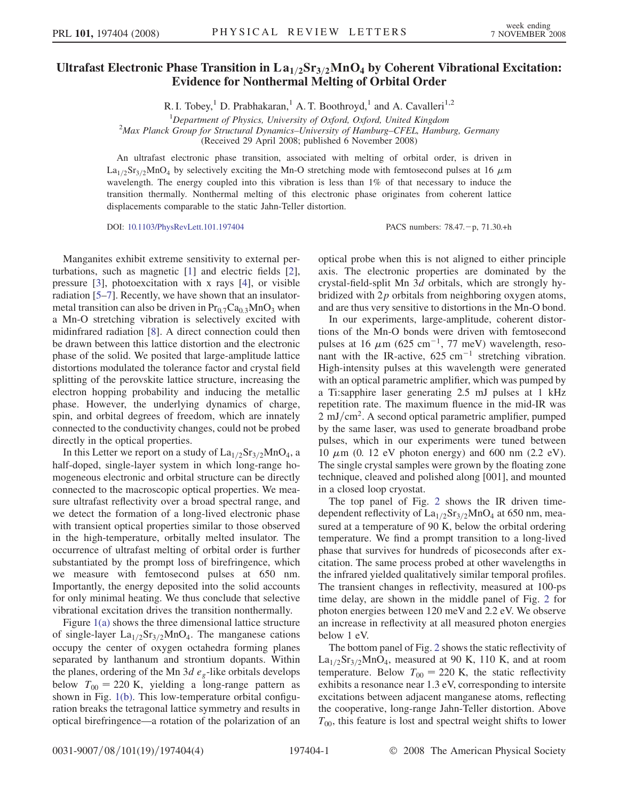## Ultrafast Electronic Phase Transition in  $La<sub>1/2</sub>Sr<sub>3/2</sub>MnO<sub>4</sub>$  by Coherent Vibrational Excitation: Evidence for Nonthermal Melting of Orbital Order

R. I. Tobey,<sup>1</sup> D. Prabhakaran,<sup>1</sup> A. T. Boothroyd,<sup>1</sup> and A. Cavalleri<sup>1,2</sup>

<sup>1</sup> Department of Physics, University of Oxford, Oxford, United Kingdom<br><sup>2</sup>Max Planck Group for Structural Dynamics University of Hamburg CEEL, Hambu

<sup>2</sup>Max Planck Group for Structural Dynamics–University of Hamburg–CFEL, Hamburg, Germany

(Received 29 April 2008; published 6 November 2008)

An ultrafast electronic phase transition, associated with melting of orbital order, is driven in  $La<sub>1/2</sub>Sr<sub>3/2</sub>MnO<sub>4</sub>$  by selectively exciting the Mn-O stretching mode with femtosecond pulses at 16  $\mu$ m wavelength. The energy coupled into this vibration is less than 1% of that necessary to induce the transition thermally. Nonthermal melting of this electronic phase originates from coherent lattice displacements comparable to the static Jahn-Teller distortion.

DOI: [10.1103/PhysRevLett.101.197404](http://dx.doi.org/10.1103/PhysRevLett.101.197404) PACS numbers: 78.47. - p, 71.30.+h

Manganites exhibit extreme sensitivity to external perturbations, such as magnetic [[1\]](#page-3-0) and electric fields [[2\]](#page-3-0), pressure [[3](#page-3-0)], photoexcitation with x rays [[4\]](#page-3-0), or visible radiation [\[5](#page-3-0)–[7\]](#page-3-0). Recently, we have shown that an insulatormetal transition can also be driven in  $Pr_{0.7}Ca_{0.3}MnO_3$  when a Mn-O stretching vibration is selectively excited with midinfrared radiation [\[8\]](#page-3-0). A direct connection could then be drawn between this lattice distortion and the electronic phase of the solid. We posited that large-amplitude lattice distortions modulated the tolerance factor and crystal field splitting of the perovskite lattice structure, increasing the electron hopping probability and inducing the metallic phase. However, the underlying dynamics of charge, spin, and orbital degrees of freedom, which are innately connected to the conductivity changes, could not be probed directly in the optical properties.

In this Letter we report on a study of  $La<sub>1/2</sub>Sr<sub>3/2</sub>MnO<sub>4</sub>$ , a half-doped, single-layer system in which long-range homogeneous electronic and orbital structure can be directly connected to the macroscopic optical properties. We measure ultrafast reflectivity over a broad spectral range, and we detect the formation of a long-lived electronic phase with transient optical properties similar to those observed in the high-temperature, orbitally melted insulator. The occurrence of ultrafast melting of orbital order is further substantiated by the prompt loss of birefringence, which we measure with femtosecond pulses at 650 nm. Importantly, the energy deposited into the solid accounts for only minimal heating. We thus conclude that selective vibrational excitation drives the transition nonthermally.

Figure [1\(a\)](#page-1-0) shows the three dimensional lattice structure of single-layer  $La<sub>1/2</sub>Sr<sub>3/2</sub>MnO<sub>4</sub>$ . The manganese cations occupy the center of oxygen octahedra forming planes separated by lanthanum and strontium dopants. Within the planes, ordering of the Mn 3d  $e<sub>g</sub>$ -like orbitals develops below  $T_{00} = 220$  K, yielding a long-range pattern as shown in Fig. [1\(b\)](#page-1-0). This low-temperature orbital configuration breaks the tetragonal lattice symmetry and results in optical birefringence—a rotation of the polarization of an optical probe when this is not aligned to either principle axis. The electronic properties are dominated by the crystal-field-split Mn 3d orbitals, which are strongly hybridized with  $2p$  orbitals from neighboring oxygen atoms, and are thus very sensitive to distortions in the Mn-O bond.

In our experiments, large-amplitude, coherent distortions of the Mn-O bonds were driven with femtosecond pulses at 16  $\mu$ m (625 cm<sup>-1</sup>, 77 meV) wavelength, resonant with the IR-active,  $625 \text{ cm}^{-1}$  stretching vibration. High-intensity pulses at this wavelength were generated with an optical parametric amplifier, which was pumped by a Ti:sapphire laser generating 2.5 mJ pulses at 1 kHz repetition rate. The maximum fluence in the mid-IR was  $2 \text{ mJ/cm}^2$ . A second optical parametric amplifier, pumped by the same laser, was used to generate broadband probe pulses, which in our experiments were tuned between 10  $\mu$ m (0. 12 eV photon energy) and 600 nm (2.2 eV). The single crystal samples were grown by the floating zone technique, cleaved and polished along [001], and mounted in a closed loop cryostat.

The top panel of Fig. [2](#page-1-0) shows the IR driven timedependent reflectivity of  $La<sub>1/2</sub>Sr<sub>3/2</sub>MnO<sub>4</sub>$  at 650 nm, measured at a temperature of 90 K, below the orbital ordering temperature. We find a prompt transition to a long-lived phase that survives for hundreds of picoseconds after excitation. The same process probed at other wavelengths in the infrared yielded qualitatively similar temporal profiles. The transient changes in reflectivity, measured at 100-ps time delay, are shown in the middle panel of Fig. [2](#page-1-0) for photon energies between 120 meV and 2.2 eV. We observe an increase in reflectivity at all measured photon energies below 1 eV.

The bottom panel of Fig. [2](#page-1-0) shows the static reflectivity of  $La<sub>1/2</sub>Sr<sub>3/2</sub>MnO<sub>4</sub>$ , measured at 90 K, 110 K, and at room temperature. Below  $T_{00} = 220$  K, the static reflectivity exhibits a resonance near 1.3 eV, corresponding to intersite excitations between adjacent manganese atoms, reflecting the cooperative, long-range Jahn-Teller distortion. Above  $T_{00}$ , this feature is lost and spectral weight shifts to lower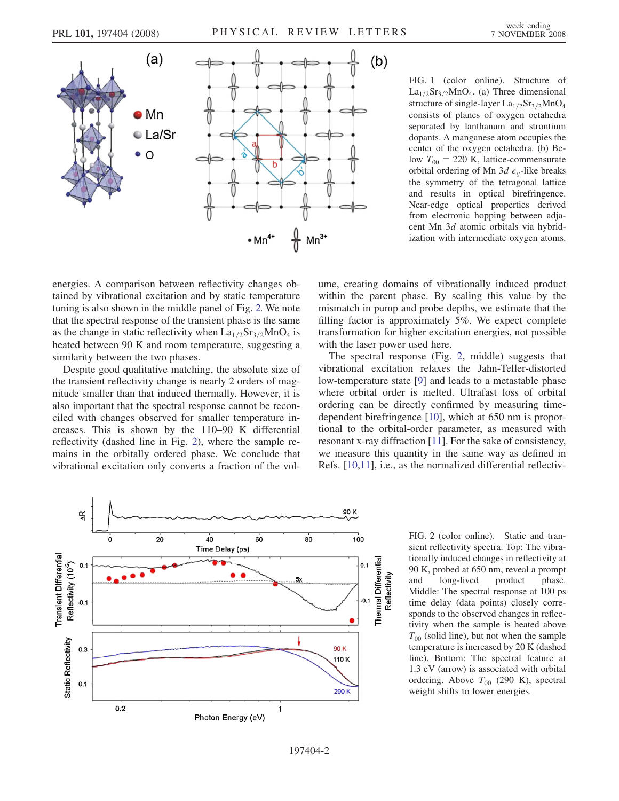<span id="page-1-0"></span>

FIG. 1 (color online). Structure of  $La<sub>1/2</sub>Sr<sub>3/2</sub>MnO<sub>4</sub>$ . (a) Three dimensional structure of single-layer  $La<sub>1/2</sub>Sr<sub>3/2</sub>MnO<sub>4</sub>$ consists of planes of oxygen octahedra separated by lanthanum and strontium dopants. A manganese atom occupies the center of the oxygen octahedra. (b) Below  $T_{00} = 220$  K, lattice-commensurate orbital ordering of Mn 3d  $e_g$ -like breaks the symmetry of the tetragonal lattice and results in optical birefringence. Near-edge optical properties derived from electronic hopping between adjacent Mn 3d atomic orbitals via hybridization with intermediate oxygen atoms.

energies. A comparison between reflectivity changes obtained by vibrational excitation and by static temperature tuning is also shown in the middle panel of Fig. 2. We note that the spectral response of the transient phase is the same as the change in static reflectivity when  $La<sub>1/2</sub>Sr<sub>3/2</sub>MnO<sub>4</sub>$  is heated between 90 K and room temperature, suggesting a similarity between the two phases.

Despite good qualitative matching, the absolute size of the transient reflectivity change is nearly 2 orders of magnitude smaller than that induced thermally. However, it is also important that the spectral response cannot be reconciled with changes observed for smaller temperature increases. This is shown by the 110–90 K differential reflectivity (dashed line in Fig. 2), where the sample remains in the orbitally ordered phase. We conclude that vibrational excitation only converts a fraction of the volume, creating domains of vibrationally induced product within the parent phase. By scaling this value by the mismatch in pump and probe depths, we estimate that the filling factor is approximately 5%. We expect complete transformation for higher excitation energies, not possible with the laser power used here.

The spectral response (Fig. 2, middle) suggests that vibrational excitation relaxes the Jahn-Teller-distorted low-temperature state [\[9\]](#page-3-0) and leads to a metastable phase where orbital order is melted. Ultrafast loss of orbital ordering can be directly confirmed by measuring timedependent birefringence [[10](#page-3-0)], which at 650 nm is proportional to the orbital-order parameter, as measured with resonant x-ray diffraction [[11](#page-3-0)]. For the sake of consistency, we measure this quantity in the same way as defined in Refs. [\[10,11\]](#page-3-0), i.e., as the normalized differential reflectiv-



FIG. 2 (color online). Static and transient reflectivity spectra. Top: The vibrationally induced changes in reflectivity at 90 K, probed at 650 nm, reveal a prompt and long-lived product phase. Middle: The spectral response at 100 ps time delay (data points) closely corresponds to the observed changes in reflectivity when the sample is heated above  $T_{00}$  (solid line), but not when the sample temperature is increased by 20 K (dashed line). Bottom: The spectral feature at 1.3 eV (arrow) is associated with orbital ordering. Above  $T_{00}$  (290 K), spectral weight shifts to lower energies.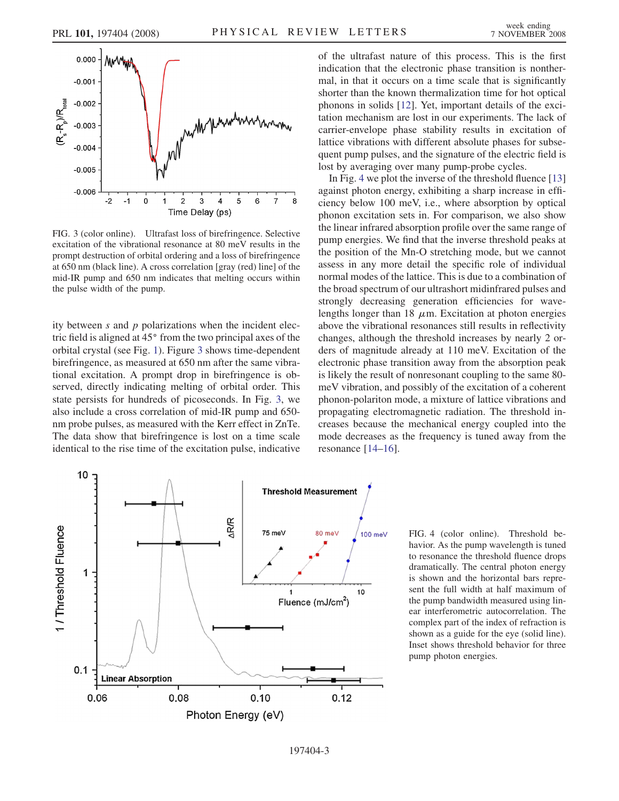<span id="page-2-0"></span>

FIG. 3 (color online). Ultrafast loss of birefringence. Selective excitation of the vibrational resonance at 80 meV results in the prompt destruction of orbital ordering and a loss of birefringence at 650 nm (black line). A cross correlation [gray (red) line] of the mid-IR pump and 650 nm indicates that melting occurs within the pulse width of the pump.

ity between  $s$  and  $p$  polarizations when the incident electric field is aligned at 45° from the two principal axes of the orbital crystal (see Fig. [1\)](#page-1-0). Figure 3 shows time-dependent birefringence, as measured at 650 nm after the same vibrational excitation. A prompt drop in birefringence is observed, directly indicating melting of orbital order. This state persists for hundreds of picoseconds. In Fig. 3, we also include a cross correlation of mid-IR pump and 650 nm probe pulses, as measured with the Kerr effect in ZnTe. The data show that birefringence is lost on a time scale identical to the rise time of the excitation pulse, indicative



of the ultrafast nature of this process. This is the first indication that the electronic phase transition is nonthermal, in that it occurs on a time scale that is significantly shorter than the known thermalization time for hot optical phonons in solids [\[12\]](#page-3-0). Yet, important details of the excitation mechanism are lost in our experiments. The lack of carrier-envelope phase stability results in excitation of lattice vibrations with different absolute phases for subsequent pump pulses, and the signature of the electric field is lost by averaging over many pump-probe cycles.

In Fig. 4 we plot the inverse of the threshold fluence [\[13\]](#page-3-0) against photon energy, exhibiting a sharp increase in efficiency below 100 meV, i.e., where absorption by optical phonon excitation sets in. For comparison, we also show the linear infrared absorption profile over the same range of pump energies. We find that the inverse threshold peaks at the position of the Mn-O stretching mode, but we cannot assess in any more detail the specific role of individual normal modes of the lattice. This is due to a combination of the broad spectrum of our ultrashort midinfrared pulses and strongly decreasing generation efficiencies for wavelengths longer than 18  $\mu$ m. Excitation at photon energies above the vibrational resonances still results in reflectivity changes, although the threshold increases by nearly 2 orders of magnitude already at 110 meV. Excitation of the electronic phase transition away from the absorption peak is likely the result of nonresonant coupling to the same 80 meV vibration, and possibly of the excitation of a coherent phonon-polariton mode, a mixture of lattice vibrations and propagating electromagnetic radiation. The threshold increases because the mechanical energy coupled into the mode decreases as the frequency is tuned away from the resonance [\[14–16\]](#page-3-0).

FIG. 4 (color online). Threshold behavior. As the pump wavelength is tuned to resonance the threshold fluence drops dramatically. The central photon energy is shown and the horizontal bars represent the full width at half maximum of the pump bandwidth measured using linear interferometric autocorrelation. The complex part of the index of refraction is shown as a guide for the eye (solid line). Inset shows threshold behavior for three pump photon energies.